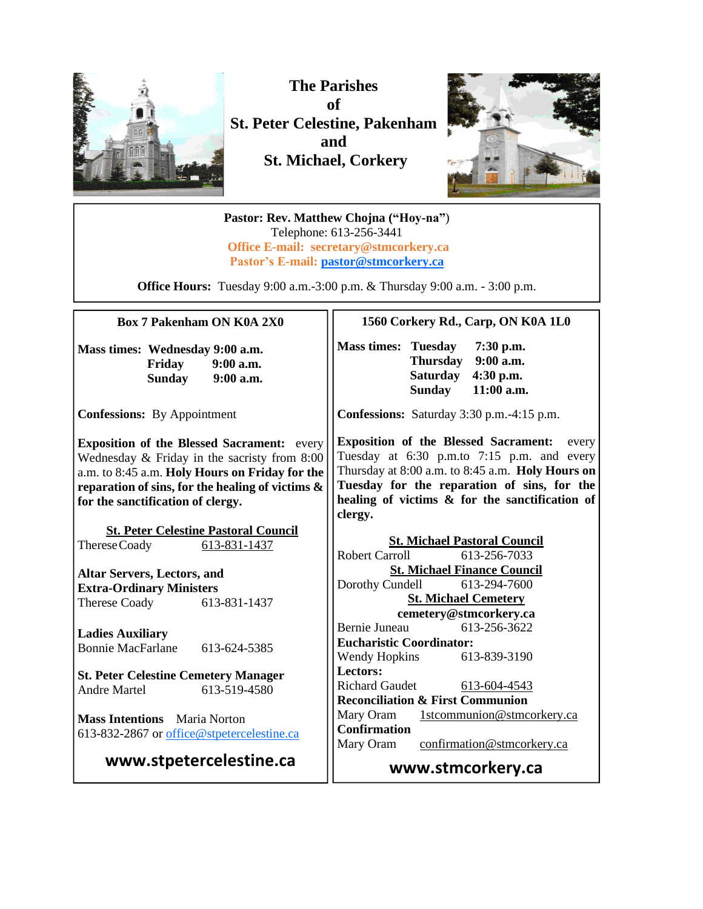

**The Parishes of St. Peter Celestine, Pakenham and St. Michael, Corkery**



**Pastor: Rev. Matthew Chojna ("Hoy-na"**) Telephone: 613-256-3441 **Office E-mail: secretary@stmcorkery.ca Pastor's E-mail: [pastor@stmcorkery.ca](mailto:pastor@stmcorkery.ca)**

**Office Hours:** Tuesday 9:00 a.m.-3:00 p.m. & Thursday 9:00 a.m. - 3:00 p.m.

#### **Box 7 Pakenham ON K0A 2X0**

**Mass times: Wednesday 9:00 a.m. Friday 9:00 a.m. Sunday 9:00 a.m.**

 $\overline{a}$ 

**Confessions:** By Appointment

**Exposition of the Blessed Sacrament:** every Wednesday & Friday in the sacristy from 8:00 a.m. to 8:45 a.m. **Holy Hours on Friday for the reparation of sins, for the healing of victims & for the sanctification of clergy.**

**St. Peter Celestine Pastoral Council** ThereseCoady 613-831-1437

**Altar Servers, Lectors, and Extra-Ordinary Ministers** Therese Coady 613-831-1437

**Ladies Auxiliary** Bonnie MacFarlane 613-624-5385

**St. Peter Celestine Cemetery Manager** Andre Martel 613-519-4580

**Mass Intentions** Maria Norton 613-832-2867 or [office@stpetercelestine.ca](mailto:office@stpetercelestine.ca)

**www.stpetercelestine.ca**

#### **1560 Corkery Rd., Carp, ON K0A 1L0**

**Mass times: Tuesday 7:30 p.m. Thursday 9:00 a.m. Saturday 4:30 p.m. 11:00 a.m.** 

**Confessions:** Saturday 3:30 p.m.-4:15 p.m.

**Exposition of the Blessed Sacrament:** every Tuesday at 6:30 p.m.to 7:15 p.m. and every Thursday at 8:00 a.m. to 8:45 a.m. **Holy Hours on Tuesday for the reparation of sins, for the healing of victims & for the sanctification of clergy.**

**St. Michael Pastoral Council** Robert Carroll 613-256-7033 **St. Michael Finance Council** Dorothy Cundell 613-294-7600 **St. Michael Cemetery cemetery@stmcorkery.ca** Bernie Juneau 613-256-3622 **Eucharistic Coordinator:**  Wendy Hopkins 613-839-3190 **Lectors:**  Richard Gaudet [613-604-4543](tel:613-604-4543) **Reconciliation & First Communion**  Mary Oram 1stcommunion@stmcorkery.ca **Confirmation** Mary Oram confirmation@stmcorkery.ca

**www.stmcorkery.ca**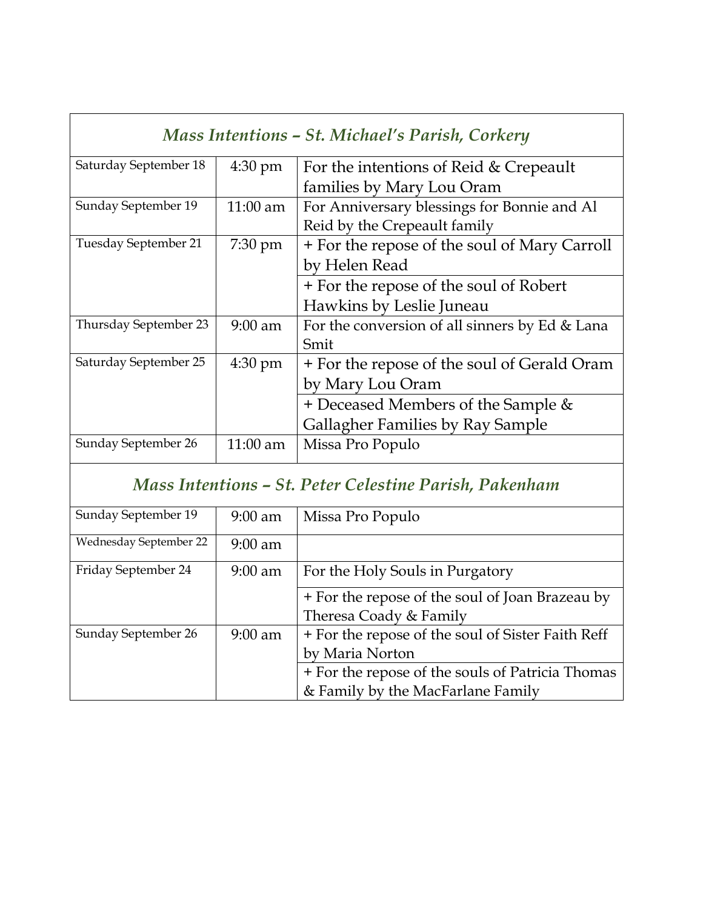| Mass Intentions - St. Michael's Parish, Corkery |                   |                                                |
|-------------------------------------------------|-------------------|------------------------------------------------|
| Saturday September 18                           | $4:30 \text{ pm}$ | For the intentions of Reid & Crepeault         |
|                                                 |                   | families by Mary Lou Oram                      |
| Sunday September 19                             | $11:00$ am        | For Anniversary blessings for Bonnie and Al    |
|                                                 |                   | Reid by the Crepeault family                   |
| Tuesday September 21                            | $7:30 \text{ pm}$ | + For the repose of the soul of Mary Carroll   |
|                                                 |                   | by Helen Read                                  |
|                                                 |                   | + For the repose of the soul of Robert         |
|                                                 |                   | Hawkins by Leslie Juneau                       |
| Thursday September 23                           | $9:00$ am         | For the conversion of all sinners by Ed & Lana |
|                                                 |                   | Smit                                           |
| Saturday September 25                           | $4:30 \text{ pm}$ | + For the repose of the soul of Gerald Oram    |
|                                                 |                   | by Mary Lou Oram                               |
|                                                 |                   | + Deceased Members of the Sample &             |
|                                                 |                   | Gallagher Families by Ray Sample               |
| Sunday September 26                             | $11:00$ am        | Missa Pro Populo                               |

 $\mathsf{r}$ 

# *Mass Intentions – St. Peter Celestine Parish, Pakenham*

| Sunday September 19    | $9:00$ am | Missa Pro Populo                                  |
|------------------------|-----------|---------------------------------------------------|
| Wednesday September 22 | $9:00$ am |                                                   |
| Friday September 24    | $9:00$ am | For the Holy Souls in Purgatory                   |
|                        |           | + For the repose of the soul of Joan Brazeau by   |
|                        |           | Theresa Coady & Family                            |
| Sunday September 26    | $9:00$ am | + For the repose of the soul of Sister Faith Reff |
|                        |           | by Maria Norton                                   |
|                        |           | + For the repose of the souls of Patricia Thomas  |
|                        |           | & Family by the MacFarlane Family                 |